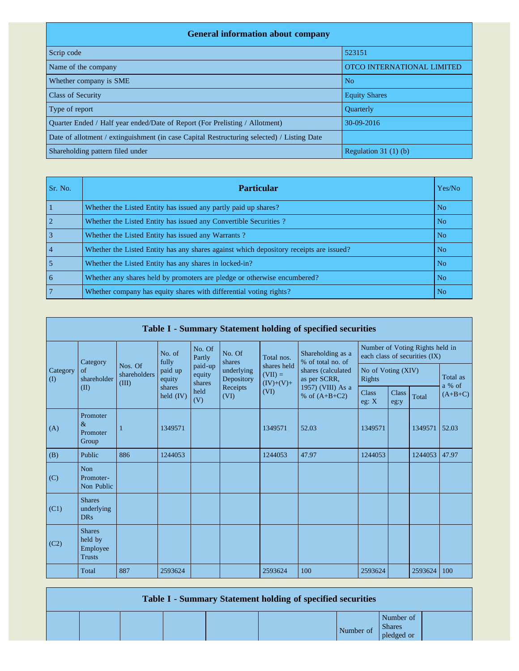| <b>General information about company</b>                                                   |                            |  |  |  |  |  |  |  |  |
|--------------------------------------------------------------------------------------------|----------------------------|--|--|--|--|--|--|--|--|
| Scrip code                                                                                 | 523151                     |  |  |  |  |  |  |  |  |
| Name of the company                                                                        | OTCO INTERNATIONAL LIMITED |  |  |  |  |  |  |  |  |
| Whether company is SME                                                                     | N <sub>o</sub>             |  |  |  |  |  |  |  |  |
| <b>Class of Security</b>                                                                   | <b>Equity Shares</b>       |  |  |  |  |  |  |  |  |
| Type of report                                                                             | <b>Ouarterly</b>           |  |  |  |  |  |  |  |  |
| Ouarter Ended / Half year ended/Date of Report (For Prelisting / Allotment)                | 30-09-2016                 |  |  |  |  |  |  |  |  |
| Date of allotment / extinguishment (in case Capital Restructuring selected) / Listing Date |                            |  |  |  |  |  |  |  |  |
| Shareholding pattern filed under                                                           | Regulation $31(1)(b)$      |  |  |  |  |  |  |  |  |

| Sr. No. | <b>Particular</b>                                                                      | Yes/No         |
|---------|----------------------------------------------------------------------------------------|----------------|
|         | Whether the Listed Entity has issued any partly paid up shares?                        | N <sub>o</sub> |
|         | Whether the Listed Entity has issued any Convertible Securities?                       | N <sub>o</sub> |
|         | Whether the Listed Entity has issued any Warrants?                                     | N <sub>o</sub> |
|         | Whether the Listed Entity has any shares against which depository receipts are issued? | N <sub>o</sub> |
|         | Whether the Listed Entity has any shares in locked-in?                                 | N <sub>o</sub> |
| 6       | Whether any shares held by promoters are pledge or otherwise encumbered?               | N <sub>o</sub> |
|         | Whether company has equity shares with differential voting rights?                     | N <sub>o</sub> |

| Table I - Summary Statement holding of specified securities |                                                       |                                  |                       |                             |                          |                                         |                                                                            |                                                                  |                      |         |                    |  |
|-------------------------------------------------------------|-------------------------------------------------------|----------------------------------|-----------------------|-----------------------------|--------------------------|-----------------------------------------|----------------------------------------------------------------------------|------------------------------------------------------------------|----------------------|---------|--------------------|--|
| Category<br>$\left( \mathrm{I}\right)$                      | Category                                              | Nos. Of<br>shareholders<br>(III) | No. of<br>fully       | No. Of<br>Partly            | No. Of<br>shares         | Total nos.                              | Shareholding as a<br>% of total no. of                                     | Number of Voting Rights held in<br>each class of securities (IX) |                      |         |                    |  |
|                                                             | of<br>shareholder                                     |                                  | paid up<br>equity     | paid-up<br>equity<br>shares | underlying<br>Depository | shares held<br>$(VII) =$<br>$(IV)+(V)+$ | shares (calculated<br>as per SCRR,<br>1957) (VIII) As a<br>% of $(A+B+C2)$ | No of Voting (XIV)<br><b>Rights</b>                              |                      |         | Total as<br>a % of |  |
|                                                             | (II)                                                  |                                  | shares<br>held $(IV)$ | held<br>(V)                 | Receipts<br>(VI)         | (VI)                                    |                                                                            | <b>Class</b><br>eg: X                                            | <b>Class</b><br>eg:y | Total   | $(A+B+C)$          |  |
| (A)                                                         | Promoter<br>&<br>Promoter<br>Group                    |                                  | 1349571               |                             |                          | 1349571                                 | 52.03                                                                      | 1349571                                                          |                      | 1349571 | 52.03              |  |
| (B)                                                         | Public                                                | 886                              | 1244053               |                             |                          | 1244053                                 | 47.97                                                                      | 1244053                                                          |                      | 1244053 | 47.97              |  |
| (C)                                                         | Non<br>Promoter-<br>Non Public                        |                                  |                       |                             |                          |                                         |                                                                            |                                                                  |                      |         |                    |  |
| (C1)                                                        | <b>Shares</b><br>underlying<br><b>DRs</b>             |                                  |                       |                             |                          |                                         |                                                                            |                                                                  |                      |         |                    |  |
| (C2)                                                        | <b>Shares</b><br>held by<br>Employee<br><b>Trusts</b> |                                  |                       |                             |                          |                                         |                                                                            |                                                                  |                      |         |                    |  |
|                                                             | Total                                                 | 887                              | 2593624               |                             |                          | 2593624                                 | 100                                                                        | 2593624                                                          |                      | 2593624 | 100                |  |

| Table I - Summary Statement holding of specified securities |  |  |  |  |  |           |                                          |  |  |  |
|-------------------------------------------------------------|--|--|--|--|--|-----------|------------------------------------------|--|--|--|
|                                                             |  |  |  |  |  | Number of | Number of<br><b>Shares</b><br>pledged or |  |  |  |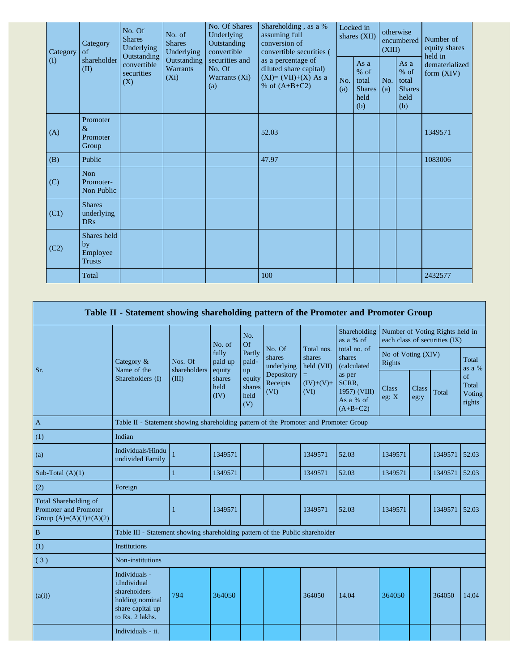| Category | Category<br>of                                 | No. Of<br><b>Shares</b><br>Underlying<br>Outstanding<br>convertible<br>securities<br>(X) | No. of<br><b>Shares</b><br>Underlying<br>Outstanding<br><b>Warrants</b><br>$(X_i)$ | No. Of Shares<br>Underlying<br>Outstanding<br>convertible<br>securities and<br>No. Of<br>Warrants (Xi)<br>(a) | Shareholding, as a %<br>assuming full<br>conversion of<br>convertible securities (       | Locked in<br>shares (XII) |                                                         | otherwise<br>encumbered<br>(XIII) |                                                       | Number of<br>equity shares<br>held in |
|----------|------------------------------------------------|------------------------------------------------------------------------------------------|------------------------------------------------------------------------------------|---------------------------------------------------------------------------------------------------------------|------------------------------------------------------------------------------------------|---------------------------|---------------------------------------------------------|-----------------------------------|-------------------------------------------------------|---------------------------------------|
| $\rm(D)$ | shareholder<br>(II)                            |                                                                                          |                                                                                    |                                                                                                               | as a percentage of<br>diluted share capital)<br>$(XI)=(VII)+(X) As a$<br>% of $(A+B+C2)$ | No.<br>(a)                | As a<br>$%$ of<br>total<br><b>Shares</b><br>held<br>(b) | No.<br>(a)                        | As a<br>% of<br>total<br><b>Shares</b><br>held<br>(b) | dematerialized<br>form $(XIV)$        |
| (A)      | Promoter<br>$\&$<br>Promoter<br>Group          |                                                                                          |                                                                                    |                                                                                                               | 52.03                                                                                    |                           |                                                         |                                   |                                                       | 1349571                               |
| (B)      | Public                                         |                                                                                          |                                                                                    |                                                                                                               | 47.97                                                                                    |                           |                                                         |                                   |                                                       | 1083006                               |
| (C)      | Non<br>Promoter-<br>Non Public                 |                                                                                          |                                                                                    |                                                                                                               |                                                                                          |                           |                                                         |                                   |                                                       |                                       |
| (C1)     | <b>Shares</b><br>underlying<br><b>DRs</b>      |                                                                                          |                                                                                    |                                                                                                               |                                                                                          |                           |                                                         |                                   |                                                       |                                       |
| (C2)     | Shares held<br>by<br>Employee<br><b>Trusts</b> |                                                                                          |                                                                                    |                                                                                                               |                                                                                          |                           |                                                         |                                   |                                                       |                                       |
|          | Total                                          |                                                                                          |                                                                                    |                                                                                                               | 100                                                                                      |                           |                                                         |                                   |                                                       | 2432577                               |

| Table II - Statement showing shareholding pattern of the Promoter and Promoter Group |                                                                                                         |                                                                                      |                            |                                       |                                |                                                                  |                                                                                                     |                                     |                      |                                                                  |                                 |  |  |
|--------------------------------------------------------------------------------------|---------------------------------------------------------------------------------------------------------|--------------------------------------------------------------------------------------|----------------------------|---------------------------------------|--------------------------------|------------------------------------------------------------------|-----------------------------------------------------------------------------------------------------|-------------------------------------|----------------------|------------------------------------------------------------------|---------------------------------|--|--|
|                                                                                      |                                                                                                         |                                                                                      | No. of                     | No.<br>Of<br>Partly<br>paid-          |                                |                                                                  | Shareholding<br>as a % of                                                                           |                                     |                      | Number of Voting Rights held in<br>each class of securities (IX) |                                 |  |  |
| Sr.                                                                                  | Category &<br>Name of the                                                                               | Nos. Of<br>shareholders                                                              | fully<br>paid up<br>equity |                                       | No. Of<br>shares<br>underlying | Total nos.<br>shares<br>held (VII)<br>$=$<br>$(IV)+(V)+$<br>(VI) | total no. of<br>shares<br>(calculated<br>as per<br>SCRR,<br>1957) (VIII)<br>As a % of<br>$(A+B+C2)$ | No of Voting (XIV)<br><b>Rights</b> |                      |                                                                  | Total<br>as a %                 |  |  |
|                                                                                      | Shareholders (I)                                                                                        | (III)                                                                                | shares<br>held<br>(IV)     | up<br>equity<br>shares<br>held<br>(V) | Depository<br>Receipts<br>(VI) |                                                                  |                                                                                                     | Class<br>eg: $X$                    | <b>Class</b><br>eg:y | Total                                                            | of<br>Total<br>Voting<br>rights |  |  |
| $\,$ A                                                                               |                                                                                                         | Table II - Statement showing shareholding pattern of the Promoter and Promoter Group |                            |                                       |                                |                                                                  |                                                                                                     |                                     |                      |                                                                  |                                 |  |  |
| (1)                                                                                  | Indian                                                                                                  |                                                                                      |                            |                                       |                                |                                                                  |                                                                                                     |                                     |                      |                                                                  |                                 |  |  |
| (a)                                                                                  | Individuals/Hindu<br>undivided Family                                                                   |                                                                                      | 1349571                    |                                       |                                | 1349571                                                          | 52.03                                                                                               | 1349571                             |                      | 1349571                                                          | 52.03                           |  |  |
| Sub-Total $(A)(1)$                                                                   |                                                                                                         | 1                                                                                    | 1349571                    |                                       |                                | 1349571                                                          | 52.03                                                                                               | 1349571                             |                      | 1349571                                                          | 52.03                           |  |  |
| (2)                                                                                  | Foreign                                                                                                 |                                                                                      |                            |                                       |                                |                                                                  |                                                                                                     |                                     |                      |                                                                  |                                 |  |  |
| Total Shareholding of<br>Promoter and Promoter<br>Group $(A)=(A)(1)+(A)(2)$          |                                                                                                         | 1                                                                                    | 1349571                    |                                       |                                | 1349571                                                          | 52.03                                                                                               | 1349571                             |                      | 1349571                                                          | 52.03                           |  |  |
| $\, {\bf B}$                                                                         | Table III - Statement showing shareholding pattern of the Public shareholder                            |                                                                                      |                            |                                       |                                |                                                                  |                                                                                                     |                                     |                      |                                                                  |                                 |  |  |
| (1)                                                                                  | Institutions                                                                                            |                                                                                      |                            |                                       |                                |                                                                  |                                                                                                     |                                     |                      |                                                                  |                                 |  |  |
| (3)                                                                                  | Non-institutions                                                                                        |                                                                                      |                            |                                       |                                |                                                                  |                                                                                                     |                                     |                      |                                                                  |                                 |  |  |
| (a(i))                                                                               | Individuals -<br>i.Individual<br>shareholders<br>holding nominal<br>share capital up<br>to Rs. 2 lakhs. | 794                                                                                  | 364050                     |                                       |                                | 364050                                                           | 14.04                                                                                               | 364050                              |                      | 364050                                                           | 14.04                           |  |  |
|                                                                                      | Individuals - ii.                                                                                       |                                                                                      |                            |                                       |                                |                                                                  |                                                                                                     |                                     |                      |                                                                  |                                 |  |  |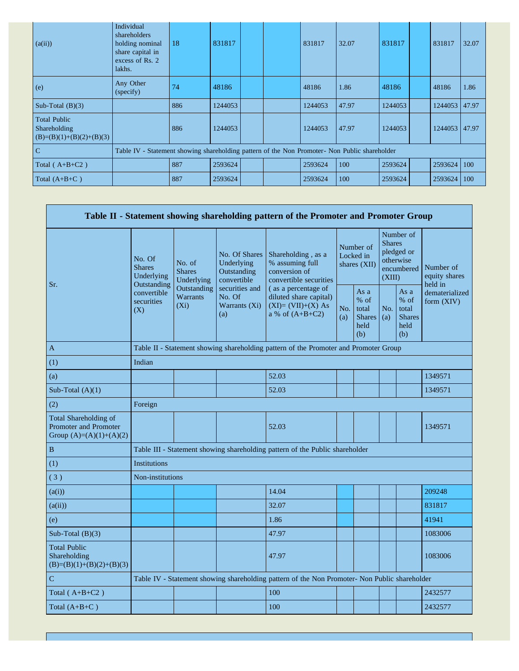| (a(ii))                                                           | Individual<br>shareholders<br>holding nominal<br>share capital in<br>excess of Rs. 2<br>lakhs. | 18  | 831817  |  |  | 831817  | 32.07 | 831817  | 831817        | 32.07 |
|-------------------------------------------------------------------|------------------------------------------------------------------------------------------------|-----|---------|--|--|---------|-------|---------|---------------|-------|
| (e)                                                               | Any Other<br>(specify)                                                                         | 74  | 48186   |  |  | 48186   | 1.86  | 48186   | 48186         | 1.86  |
| Sub-Total $(B)(3)$                                                |                                                                                                | 886 | 1244053 |  |  | 1244053 | 47.97 | 1244053 | 1244053 47.97 |       |
| <b>Total Public</b><br>Shareholding<br>$(B)=(B)(1)+(B)(2)+(B)(3)$ |                                                                                                | 886 | 1244053 |  |  | 1244053 | 47.97 | 1244053 | 1244053 47.97 |       |
| $\overline{C}$                                                    | Table IV - Statement showing shareholding pattern of the Non Promoter- Non Public shareholder  |     |         |  |  |         |       |         |               |       |
| Total $(A+B+C2)$                                                  |                                                                                                | 887 | 2593624 |  |  | 2593624 | 100   | 2593624 | 2593624       | 100   |
| Total $(A+B+C)$                                                   |                                                                                                | 887 | 2593624 |  |  | 2593624 | 100   | 2593624 | 2593624       | 100   |

|                                                                             |                                                      |                                                                                      |                                                           | Table II - Statement showing shareholding pattern of the Promoter and Promoter Group          |                                        |                                                         |                                                                               |                                                         |                                       |  |  |  |
|-----------------------------------------------------------------------------|------------------------------------------------------|--------------------------------------------------------------------------------------|-----------------------------------------------------------|-----------------------------------------------------------------------------------------------|----------------------------------------|---------------------------------------------------------|-------------------------------------------------------------------------------|---------------------------------------------------------|---------------------------------------|--|--|--|
| Sr.                                                                         | No. Of<br><b>Shares</b><br>Underlying<br>Outstanding | No. of<br><b>Shares</b><br>Underlying                                                | No. Of Shares<br>Underlying<br>Outstanding<br>convertible | Shareholding, as a<br>% assuming full<br>conversion of<br>convertible securities              | Number of<br>Locked in<br>shares (XII) |                                                         | Number of<br><b>Shares</b><br>pledged or<br>otherwise<br>encumbered<br>(XIII) |                                                         | Number of<br>equity shares<br>held in |  |  |  |
|                                                                             | convertible<br>securities<br>(X)                     | Outstanding<br>Warrants<br>$(X_i)$                                                   | securities and<br>No. Of<br>Warrants (Xi)<br>(a)          | (as a percentage of<br>diluted share capital)<br>$(XI)=(VII)+(X) As$<br>a % of $(A+B+C2)$     | No.<br>(a)                             | As a<br>$%$ of<br>total<br><b>Shares</b><br>held<br>(b) | No.<br>(a)                                                                    | As a<br>$%$ of<br>total<br><b>Shares</b><br>held<br>(b) | dematerialized<br>form (XIV)          |  |  |  |
| A                                                                           |                                                      | Table II - Statement showing shareholding pattern of the Promoter and Promoter Group |                                                           |                                                                                               |                                        |                                                         |                                                                               |                                                         |                                       |  |  |  |
| (1)                                                                         | Indian                                               |                                                                                      |                                                           |                                                                                               |                                        |                                                         |                                                                               |                                                         |                                       |  |  |  |
| (a)                                                                         |                                                      |                                                                                      |                                                           | 52.03                                                                                         |                                        |                                                         |                                                                               |                                                         | 1349571                               |  |  |  |
| Sub-Total $(A)(1)$                                                          |                                                      |                                                                                      |                                                           | 52.03                                                                                         |                                        |                                                         |                                                                               |                                                         | 1349571                               |  |  |  |
| (2)                                                                         | Foreign                                              |                                                                                      |                                                           |                                                                                               |                                        |                                                         |                                                                               |                                                         |                                       |  |  |  |
| Total Shareholding of<br>Promoter and Promoter<br>Group $(A)=(A)(1)+(A)(2)$ |                                                      |                                                                                      |                                                           | 52.03                                                                                         |                                        |                                                         |                                                                               |                                                         | 1349571                               |  |  |  |
| $\, {\bf B}$                                                                |                                                      |                                                                                      |                                                           | Table III - Statement showing shareholding pattern of the Public shareholder                  |                                        |                                                         |                                                                               |                                                         |                                       |  |  |  |
| (1)                                                                         | <b>Institutions</b>                                  |                                                                                      |                                                           |                                                                                               |                                        |                                                         |                                                                               |                                                         |                                       |  |  |  |
| (3)                                                                         | Non-institutions                                     |                                                                                      |                                                           |                                                                                               |                                        |                                                         |                                                                               |                                                         |                                       |  |  |  |
| (a(i))                                                                      |                                                      |                                                                                      |                                                           | 14.04                                                                                         |                                        |                                                         |                                                                               |                                                         | 209248                                |  |  |  |
| (a(ii))                                                                     |                                                      |                                                                                      |                                                           | 32.07                                                                                         |                                        |                                                         |                                                                               |                                                         | 831817                                |  |  |  |
| (e)                                                                         |                                                      |                                                                                      |                                                           | 1.86                                                                                          |                                        |                                                         |                                                                               |                                                         | 41941                                 |  |  |  |
| Sub-Total $(B)(3)$                                                          |                                                      |                                                                                      |                                                           | 47.97                                                                                         |                                        |                                                         |                                                                               |                                                         | 1083006                               |  |  |  |
| <b>Total Public</b><br>Shareholding<br>$(B)=(B)(1)+(B)(2)+(B)(3)$           |                                                      |                                                                                      |                                                           | 47.97                                                                                         |                                        |                                                         |                                                                               |                                                         | 1083006                               |  |  |  |
| $\overline{C}$                                                              |                                                      |                                                                                      |                                                           | Table IV - Statement showing shareholding pattern of the Non Promoter- Non Public shareholder |                                        |                                                         |                                                                               |                                                         |                                       |  |  |  |
| Total $(A+B+C2)$                                                            |                                                      |                                                                                      |                                                           | 100                                                                                           |                                        |                                                         |                                                                               |                                                         | 2432577                               |  |  |  |
| Total $(A+B+C)$                                                             |                                                      |                                                                                      |                                                           | 100                                                                                           |                                        |                                                         |                                                                               |                                                         | 2432577                               |  |  |  |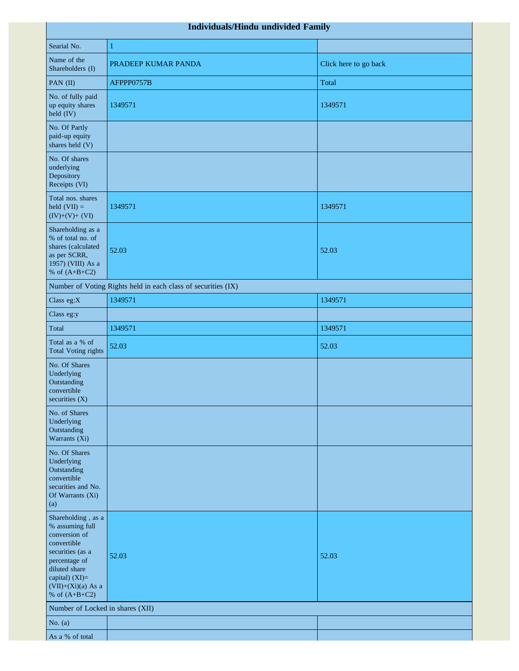| <b>Individuals/Hindu undivided Family</b>                                                                                                                                                |                                                               |                       |  |  |  |  |  |  |  |
|------------------------------------------------------------------------------------------------------------------------------------------------------------------------------------------|---------------------------------------------------------------|-----------------------|--|--|--|--|--|--|--|
| Searial No.                                                                                                                                                                              | $\mathbf{1}$                                                  |                       |  |  |  |  |  |  |  |
| Name of the<br>Shareholders (I)                                                                                                                                                          | PRADEEP KUMAR PANDA                                           | Click here to go back |  |  |  |  |  |  |  |
| PAN (II)                                                                                                                                                                                 | AFPPP0757B                                                    | Total                 |  |  |  |  |  |  |  |
| No. of fully paid<br>up equity shares<br>held (IV)                                                                                                                                       | 1349571                                                       | 1349571               |  |  |  |  |  |  |  |
| No. Of Partly<br>paid-up equity<br>shares held (V)                                                                                                                                       |                                                               |                       |  |  |  |  |  |  |  |
| No. Of shares<br>underlying<br>Depository<br>Receipts (VI)                                                                                                                               |                                                               |                       |  |  |  |  |  |  |  |
| Total nos. shares<br>held $(VII) =$<br>$(IV)+(V)+(VI)$                                                                                                                                   | 1349571                                                       | 1349571               |  |  |  |  |  |  |  |
| Shareholding as a<br>% of total no. of<br>shares (calculated<br>as per SCRR,<br>1957) (VIII) As a<br>% of $(A+B+C2)$                                                                     | 52.03                                                         | 52.03                 |  |  |  |  |  |  |  |
|                                                                                                                                                                                          | Number of Voting Rights held in each class of securities (IX) |                       |  |  |  |  |  |  |  |
| Class eg: $X$                                                                                                                                                                            | 1349571                                                       | 1349571               |  |  |  |  |  |  |  |
| Class eg:y                                                                                                                                                                               |                                                               |                       |  |  |  |  |  |  |  |
| Total                                                                                                                                                                                    | 1349571                                                       | 1349571               |  |  |  |  |  |  |  |
| Total as a % of<br><b>Total Voting rights</b>                                                                                                                                            | 52.03                                                         | 52.03                 |  |  |  |  |  |  |  |
| No. Of Shares<br>Underlying<br>Outstanding<br>convertible<br>securities $(X)$                                                                                                            |                                                               |                       |  |  |  |  |  |  |  |
| No. of Shares<br>Underlying<br>Outstanding<br>Warrants (Xi)                                                                                                                              |                                                               |                       |  |  |  |  |  |  |  |
| No. Of Shares<br>Underlying<br>Outstanding<br>convertible<br>securities and No.<br>Of Warrants (Xi)<br>(a)                                                                               |                                                               |                       |  |  |  |  |  |  |  |
| Shareholding, as a<br>% assuming full<br>conversion of<br>convertible<br>securities (as a<br>percentage of<br>diluted share<br>capital) (XI)=<br>$(VII)+(Xi)(a)$ As a<br>% of $(A+B+C2)$ | 52.03                                                         | 52.03                 |  |  |  |  |  |  |  |
| Number of Locked in shares (XII)                                                                                                                                                         |                                                               |                       |  |  |  |  |  |  |  |
| No. $(a)$                                                                                                                                                                                |                                                               |                       |  |  |  |  |  |  |  |
| As a % of total                                                                                                                                                                          |                                                               |                       |  |  |  |  |  |  |  |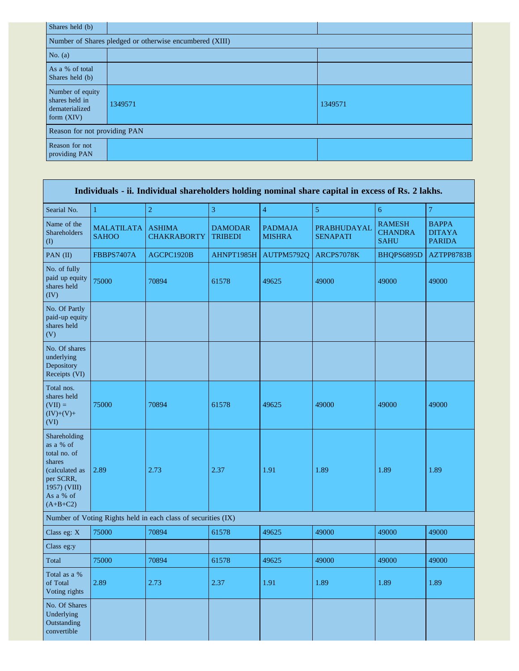| Shares held (b)                                                      |                              |         |  |  |  |  |  |  |  |  |
|----------------------------------------------------------------------|------------------------------|---------|--|--|--|--|--|--|--|--|
| Number of Shares pledged or otherwise encumbered (XIII)              |                              |         |  |  |  |  |  |  |  |  |
| No. $(a)$                                                            |                              |         |  |  |  |  |  |  |  |  |
| As a % of total<br>Shares held (b)                                   |                              |         |  |  |  |  |  |  |  |  |
| Number of equity<br>shares held in<br>dematerialized<br>form $(XIV)$ | 1349571                      | 1349571 |  |  |  |  |  |  |  |  |
|                                                                      | Reason for not providing PAN |         |  |  |  |  |  |  |  |  |
| Reason for not<br>providing PAN                                      |                              |         |  |  |  |  |  |  |  |  |

| Individuals - ii. Individual shareholders holding nominal share capital in excess of Rs. 2 lakhs.                             |                                   |                                                               |                                  |                                 |                                |                                                |                                                |  |  |  |  |
|-------------------------------------------------------------------------------------------------------------------------------|-----------------------------------|---------------------------------------------------------------|----------------------------------|---------------------------------|--------------------------------|------------------------------------------------|------------------------------------------------|--|--|--|--|
| Searial No.                                                                                                                   | $\mathbf{1}$                      | $\overline{2}$                                                | 3                                | $\overline{4}$                  | 5                              | 6                                              | $\boldsymbol{7}$                               |  |  |  |  |
| Name of the<br><b>Shareholders</b><br>$\left( \mathrm{I}\right)$                                                              | <b>MALATILATA</b><br><b>SAHOO</b> | <b>ASHIMA</b><br><b>CHAKRABORTY</b>                           | <b>DAMODAR</b><br><b>TRIBEDI</b> | <b>PADMAJA</b><br><b>MISHRA</b> | PRABHUDAYAL<br><b>SENAPATI</b> | <b>RAMESH</b><br><b>CHANDRA</b><br><b>SAHU</b> | <b>BAPPA</b><br><b>DITAYA</b><br><b>PARIDA</b> |  |  |  |  |
| PAN (II)                                                                                                                      | <b>FBBPS7407A</b>                 | AGCPC1920B                                                    | AHNPT1985H                       | AUTPM5792Q                      | ARCPS7078K                     | BHQPS6895D                                     | AZTPP8783B                                     |  |  |  |  |
| No. of fully<br>paid up equity<br>shares held<br>(IV)                                                                         | 75000                             | 70894                                                         | 61578                            | 49625                           | 49000                          | 49000                                          | 49000                                          |  |  |  |  |
| No. Of Partly<br>paid-up equity<br>shares held<br>(V)                                                                         |                                   |                                                               |                                  |                                 |                                |                                                |                                                |  |  |  |  |
| No. Of shares<br>underlying<br>Depository<br>Receipts (VI)                                                                    |                                   |                                                               |                                  |                                 |                                |                                                |                                                |  |  |  |  |
| Total nos.<br>shares held<br>$(VII) =$<br>$(IV)+(V)+$<br>(VI)                                                                 | 75000                             | 70894                                                         | 61578                            | 49625                           | 49000                          | 49000                                          | 49000                                          |  |  |  |  |
| Shareholding<br>as a % of<br>total no. of<br>shares<br>(calculated as<br>per SCRR,<br>1957) (VIII)<br>As a % of<br>$(A+B+C2)$ | 2.89                              | 2.73                                                          | 2.37                             | 1.91                            | 1.89                           | 1.89                                           | 1.89                                           |  |  |  |  |
|                                                                                                                               |                                   | Number of Voting Rights held in each class of securities (IX) |                                  |                                 |                                |                                                |                                                |  |  |  |  |
| Class eg: X                                                                                                                   | 75000                             | 70894                                                         | 61578                            | 49625                           | 49000                          | 49000                                          | 49000                                          |  |  |  |  |
| Class eg:y                                                                                                                    |                                   |                                                               |                                  |                                 |                                |                                                |                                                |  |  |  |  |
| Total                                                                                                                         | 75000                             | 70894                                                         | 61578                            | 49625                           | 49000                          | 49000                                          | 49000                                          |  |  |  |  |
| Total as a %<br>of Total<br>Voting rights                                                                                     | 2.89                              | 2.73                                                          | 2.37                             | 1.91                            | 1.89                           | 1.89                                           | 1.89                                           |  |  |  |  |
| No. Of Shares<br>Underlying<br>Outstanding<br>convertible                                                                     |                                   |                                                               |                                  |                                 |                                |                                                |                                                |  |  |  |  |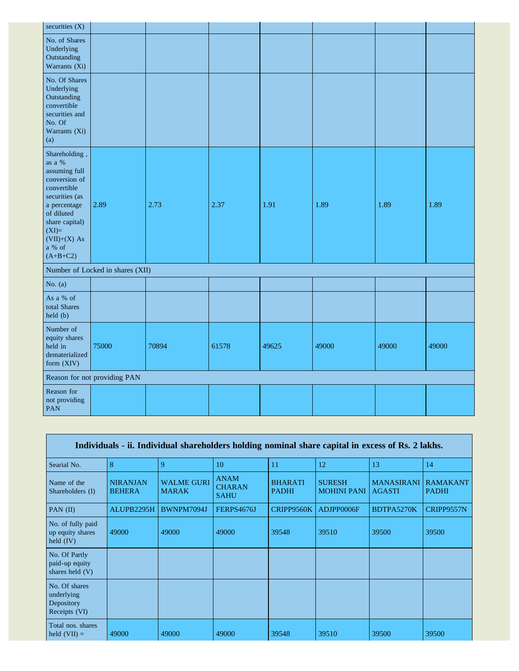| securities $(X)$                                                                                                                                                                                  |                                  |       |       |       |       |       |       |
|---------------------------------------------------------------------------------------------------------------------------------------------------------------------------------------------------|----------------------------------|-------|-------|-------|-------|-------|-------|
| No. of Shares<br>Underlying<br>Outstanding<br>Warrants (Xi)                                                                                                                                       |                                  |       |       |       |       |       |       |
| No. Of Shares<br>Underlying<br>Outstanding<br>convertible<br>securities and<br>No. Of<br>Warrants (Xi)<br>(a)                                                                                     |                                  |       |       |       |       |       |       |
| Shareholding,<br>as a $%$<br>assuming full<br>conversion of<br>convertible<br>securities (as<br>a percentage<br>of diluted<br>share capital)<br>$(XI)=$<br>$(VII)+(X)$ As<br>a % of<br>$(A+B+C2)$ | 2.89                             | 2.73  | 2.37  | 1.91  | 1.89  | 1.89  | 1.89  |
|                                                                                                                                                                                                   | Number of Locked in shares (XII) |       |       |       |       |       |       |
| No. $(a)$                                                                                                                                                                                         |                                  |       |       |       |       |       |       |
| As a % of<br>total Shares<br>held(b)                                                                                                                                                              |                                  |       |       |       |       |       |       |
| Number of<br>equity shares<br>held in<br>dematerialized<br>form (XIV)                                                                                                                             | 75000                            | 70894 | 61578 | 49625 | 49000 | 49000 | 49000 |
|                                                                                                                                                                                                   | Reason for not providing PAN     |       |       |       |       |       |       |
| Reason for<br>not providing<br><b>PAN</b>                                                                                                                                                         |                                  |       |       |       |       |       |       |

| Individuals - ii. Individual shareholders holding nominal share capital in excess of Rs. 2 lakhs. |                                  |                                   |                                             |                                |                                     |                                    |                                 |
|---------------------------------------------------------------------------------------------------|----------------------------------|-----------------------------------|---------------------------------------------|--------------------------------|-------------------------------------|------------------------------------|---------------------------------|
| Searial No.                                                                                       | 8                                | 9                                 | 10                                          | 11                             | 12                                  | 13                                 | 14                              |
| Name of the<br>Shareholders (I)                                                                   | <b>NIRANJAN</b><br><b>BEHERA</b> | <b>WALME GURI</b><br><b>MARAK</b> | <b>ANAM</b><br><b>CHARAN</b><br><b>SAHU</b> | <b>BHARATI</b><br><b>PADHI</b> | <b>SURESH</b><br><b>MOHINI PANI</b> | <b>MANASIRANI</b><br><b>AGASTI</b> | <b>RAMAKANT</b><br><b>PADHI</b> |
| PAN $(II)$                                                                                        | ALUPB2295H                       | BWNPM7094J                        | FERPS4676J                                  | CRIPP9560K                     | ADJPP0006F                          | BDTPA5270K                         | CRIPP9557N                      |
| No. of fully paid<br>up equity shares<br>held $(IV)$                                              | 49000                            | 49000                             | 49000                                       | 39548                          | 39510                               | 39500                              | 39500                           |
| No. Of Partly<br>paid-up equity<br>shares held $(V)$                                              |                                  |                                   |                                             |                                |                                     |                                    |                                 |
| No. Of shares<br>underlying<br>Depository<br>Receipts (VI)                                        |                                  |                                   |                                             |                                |                                     |                                    |                                 |
| Total nos. shares<br>held $(VII) =$                                                               | 49000                            | 49000                             | 49000                                       | 39548                          | 39510                               | 39500                              | 39500                           |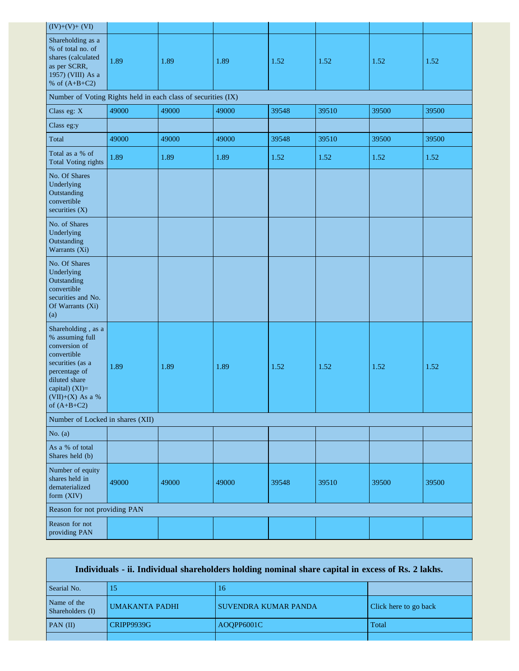| $(IV)+(V)+(VI)$                                                                                                                                                                    |       |       |       |       |       |       |       |
|------------------------------------------------------------------------------------------------------------------------------------------------------------------------------------|-------|-------|-------|-------|-------|-------|-------|
| Shareholding as a<br>% of total no. of<br>shares (calculated<br>as per SCRR,<br>1957) (VIII) As a<br>% of $(A+B+C2)$                                                               | 1.89  | 1.89  | 1.89  | 1.52  | 1.52  | 1.52  | 1.52  |
| Number of Voting Rights held in each class of securities (IX)                                                                                                                      |       |       |       |       |       |       |       |
| Class eg: X                                                                                                                                                                        | 49000 | 49000 | 49000 | 39548 | 39510 | 39500 | 39500 |
| Class eg:y                                                                                                                                                                         |       |       |       |       |       |       |       |
| Total                                                                                                                                                                              | 49000 | 49000 | 49000 | 39548 | 39510 | 39500 | 39500 |
| Total as a % of<br>Total Voting rights                                                                                                                                             | 1.89  | 1.89  | 1.89  | 1.52  | 1.52  | 1.52  | 1.52  |
| No. Of Shares<br>Underlying<br>Outstanding<br>convertible<br>securities (X)                                                                                                        |       |       |       |       |       |       |       |
| No. of Shares<br>Underlying<br>Outstanding<br>Warrants (Xi)                                                                                                                        |       |       |       |       |       |       |       |
| No. Of Shares<br>Underlying<br>Outstanding<br>convertible<br>securities and No.<br>Of Warrants (Xi)<br>(a)                                                                         |       |       |       |       |       |       |       |
| Shareholding, as a<br>% assuming full<br>conversion of<br>convertible<br>securities (as a<br>percentage of<br>diluted share<br>capital) (XI)=<br>(VII)+(X) As a %<br>of $(A+B+C2)$ | 1.89  | 1.89  | 1.89  | 1.52  | 1.52  | 1.52  | 1.52  |
| Number of Locked in shares (XII)                                                                                                                                                   |       |       |       |       |       |       |       |
| No. $(a)$                                                                                                                                                                          |       |       |       |       |       |       |       |
| As a % of total<br>Shares held (b)                                                                                                                                                 |       |       |       |       |       |       |       |
| Number of equity<br>shares held in<br>dematerialized<br>form (XIV)                                                                                                                 | 49000 | 49000 | 49000 | 39548 | 39510 | 39500 | 39500 |
| Reason for not providing PAN                                                                                                                                                       |       |       |       |       |       |       |       |
| Reason for not<br>providing PAN                                                                                                                                                    |       |       |       |       |       |       |       |

| Individuals - ii. Individual shareholders holding nominal share capital in excess of Rs. 2 lakhs. |                       |                             |                       |  |  |
|---------------------------------------------------------------------------------------------------|-----------------------|-----------------------------|-----------------------|--|--|
| Searial No.                                                                                       |                       | 16                          |                       |  |  |
| Name of the<br>Shareholders (I)                                                                   | <b>UMAKANTA PADHI</b> | <b>SUVENDRA KUMAR PANDA</b> | Click here to go back |  |  |
| $PAN$ (II)                                                                                        | <b>CRIPP9939G</b>     | AOOPP6001C                  | Total                 |  |  |
|                                                                                                   |                       |                             |                       |  |  |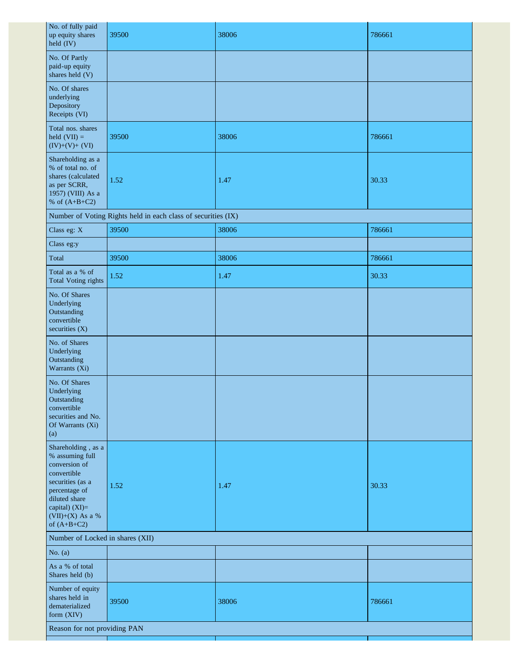| No. of fully paid<br>up equity shares<br>held (IV)                                                                                                                                 | 39500                                                         | 38006 | 786661 |  |
|------------------------------------------------------------------------------------------------------------------------------------------------------------------------------------|---------------------------------------------------------------|-------|--------|--|
| No. Of Partly<br>paid-up equity<br>shares held (V)                                                                                                                                 |                                                               |       |        |  |
| No. Of shares<br>underlying<br>Depository<br>Receipts (VI)                                                                                                                         |                                                               |       |        |  |
| Total nos. shares<br>held $(VII) =$<br>$(IV)+(V)+(VI)$                                                                                                                             | 39500                                                         | 38006 | 786661 |  |
| Shareholding as a<br>% of total no. of<br>shares (calculated<br>as per SCRR,<br>1957) (VIII) As a<br>% of $(A+B+C2)$                                                               | 1.52                                                          | 1.47  | 30.33  |  |
|                                                                                                                                                                                    | Number of Voting Rights held in each class of securities (IX) |       |        |  |
| Class eg: X                                                                                                                                                                        | 39500                                                         | 38006 | 786661 |  |
| Class eg:y                                                                                                                                                                         |                                                               |       |        |  |
| Total                                                                                                                                                                              | 39500                                                         | 38006 | 786661 |  |
| Total as a % of<br><b>Total Voting rights</b>                                                                                                                                      | 1.52                                                          | 1.47  | 30.33  |  |
| No. Of Shares<br>Underlying<br>Outstanding<br>convertible<br>securities $(X)$                                                                                                      |                                                               |       |        |  |
| No. of Shares<br>Underlying<br>Outstanding<br>Warrants (Xi)                                                                                                                        |                                                               |       |        |  |
| No. Of Shares<br>Underlying<br>Outstanding<br>convertible<br>securities and No.<br>Of Warrants (Xi)<br>(a)                                                                         |                                                               |       |        |  |
| Shareholding, as a<br>% assuming full<br>conversion of<br>convertible<br>securities (as a<br>percentage of<br>diluted share<br>capital) (XI)=<br>(VII)+(X) As a %<br>of $(A+B+C2)$ | 1.52                                                          | 1.47  | 30.33  |  |
| Number of Locked in shares (XII)                                                                                                                                                   |                                                               |       |        |  |
| No. $(a)$                                                                                                                                                                          |                                                               |       |        |  |
| As a % of total<br>Shares held (b)                                                                                                                                                 |                                                               |       |        |  |
| Number of equity<br>shares held in<br>dematerialized<br>form (XIV)                                                                                                                 | 39500                                                         | 38006 | 786661 |  |
| Reason for not providing PAN                                                                                                                                                       |                                                               |       |        |  |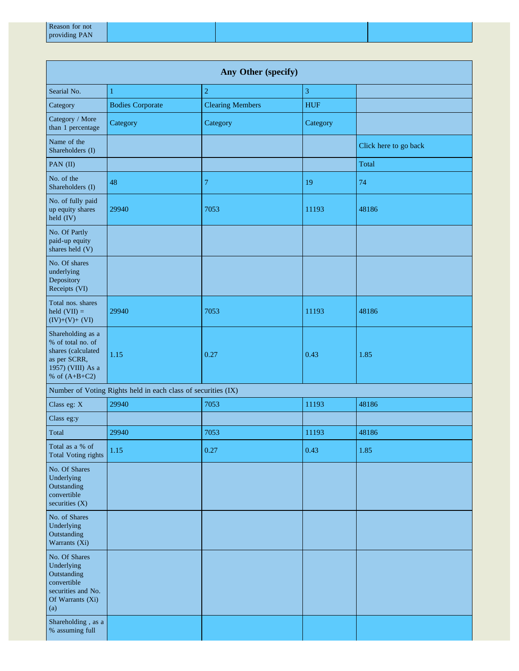| Any Other (specify)                                                                                                  |                                                               |                         |            |                       |  |
|----------------------------------------------------------------------------------------------------------------------|---------------------------------------------------------------|-------------------------|------------|-----------------------|--|
| Searial No.                                                                                                          | $\mathbf{1}$                                                  | $\overline{2}$          | 3          |                       |  |
| Category                                                                                                             | <b>Bodies Corporate</b>                                       | <b>Clearing Members</b> | <b>HUF</b> |                       |  |
| Category / More<br>than 1 percentage                                                                                 | Category                                                      | Category                | Category   |                       |  |
| Name of the<br>Shareholders (I)                                                                                      |                                                               |                         |            | Click here to go back |  |
| PAN (II)                                                                                                             |                                                               |                         |            | Total                 |  |
| No. of the<br>Shareholders (I)                                                                                       | 48                                                            | $\overline{7}$          | 19         | 74                    |  |
| No. of fully paid<br>up equity shares<br>held (IV)                                                                   | 29940                                                         | 7053                    | 11193      | 48186                 |  |
| No. Of Partly<br>paid-up equity<br>shares held (V)                                                                   |                                                               |                         |            |                       |  |
| No. Of shares<br>underlying<br>Depository<br>Receipts (VI)                                                           |                                                               |                         |            |                       |  |
| Total nos. shares<br>held $(VII) =$<br>$(IV)+(V)+(VI)$                                                               | 29940                                                         | 7053                    | 11193      | 48186                 |  |
| Shareholding as a<br>% of total no. of<br>shares (calculated<br>as per SCRR,<br>1957) (VIII) As a<br>% of $(A+B+C2)$ | 1.15                                                          | 0.27                    | 0.43       | 1.85                  |  |
|                                                                                                                      | Number of Voting Rights held in each class of securities (IX) |                         |            |                       |  |
| Class eg: X                                                                                                          | 29940                                                         | 7053                    | 11193      | 48186                 |  |
| Class eg:y                                                                                                           |                                                               |                         |            |                       |  |
| Total                                                                                                                | 29940                                                         | 7053                    | 11193      | 48186                 |  |
| Total as a % of<br><b>Total Voting rights</b>                                                                        | 1.15                                                          | 0.27                    | 0.43       | 1.85                  |  |
| No. Of Shares<br>Underlying<br>Outstanding<br>convertible<br>securities (X)                                          |                                                               |                         |            |                       |  |
| No. of Shares<br>Underlying<br>Outstanding<br>Warrants (Xi)                                                          |                                                               |                         |            |                       |  |
| No. Of Shares<br>Underlying<br>Outstanding<br>convertible<br>securities and No.<br>Of Warrants (Xi)<br>(a)           |                                                               |                         |            |                       |  |
| Shareholding, as a<br>% assuming full                                                                                |                                                               |                         |            |                       |  |